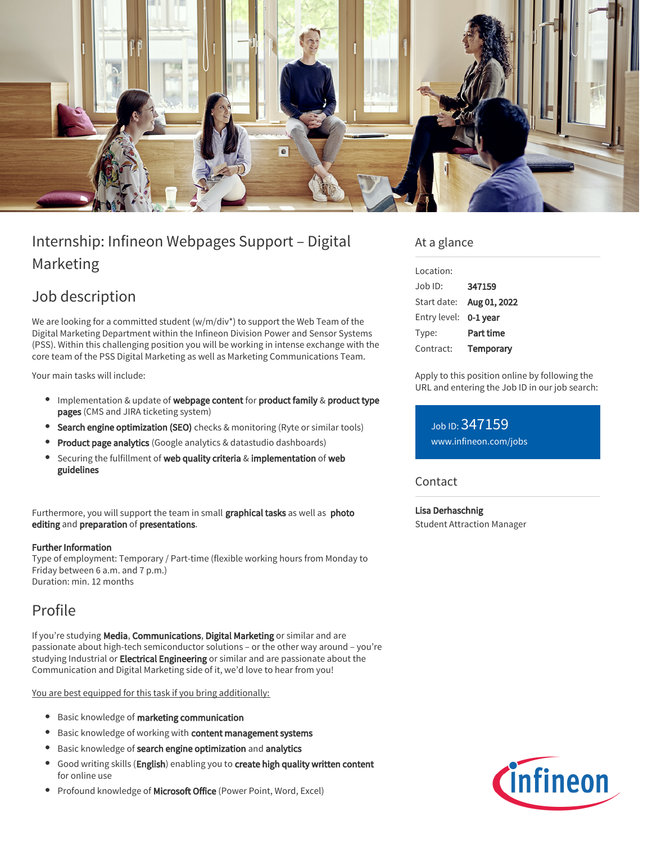

# Internship: Infineon Webpages Support – Digital Marketing

## Job description

We are looking for a committed student (w/m/div\*) to support the Web Team of the Digital Marketing Department within the Infineon Division Power and Sensor Systems (PSS). Within this challenging position you will be working in intense exchange with the core team of the PSS Digital Marketing as well as Marketing Communications Team.

Your main tasks will include:

- $\bullet$  Implementation & update of webpage content for product family & product type pages (CMS and JIRA ticketing system)
- **Search engine optimization (SEO)** checks & monitoring (Ryte or similar tools)
- **Product page analytics** (Google analytics & datastudio dashboards)
- Securing the fulfillment of web quality criteria & implementation of web guidelines

Furthermore, you will support the team in small graphical tasks as well as photo editing and preparation of presentations.

#### Further Information

Type of employment: Temporary / Part-time (flexible working hours from Monday to Friday between 6 a.m. and 7 p.m.) Duration: min. 12 months

## Profile

If you're studying Media, Communications, Digital Marketing or similar and are passionate about high-tech semiconductor solutions – or the other way around – you're studying Industrial or Electrical Engineering or similar and are passionate about the Communication and Digital Marketing side of it, we'd love to hear from you!

You are best equipped for this task if you bring additionally:

- **•** Basic knowledge of marketing communication
- **•** Basic knowledge of working with content management systems
- **•** Basic knowledge of search engine optimization and analytics
- **Good writing skills (English)** enabling you to create high quality written content for online use
- Profound knowledge of Microsoft Office (Power Point, Word, Excel)

### At a glance

| Location:      |              |
|----------------|--------------|
| $.$ lob $1D$ : | 347159       |
| Start date:    | Aug 01, 2022 |
| Entry level:   | 0-1 year     |
| Type:          | Part time    |
| Contract:      | Temporary    |

Apply to this position online by following the URL and entering the Job ID in our job search:

Job ID: 347159 [www.infineon.com/jobs](https://www.infineon.com/jobs)

### **Contact**

Lisa Derhaschnig Student Attraction Manager

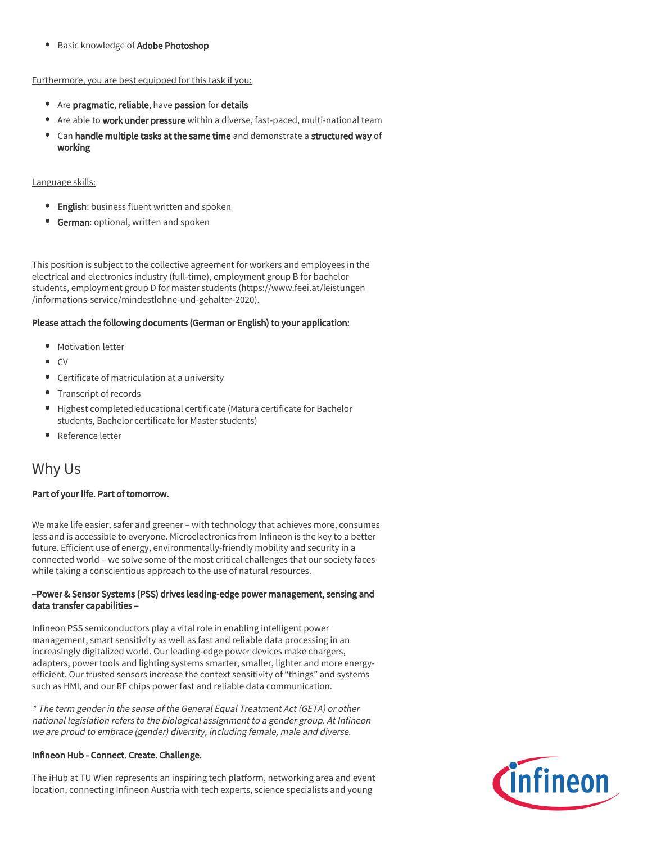Basic knowledge of **Adobe Photoshop** 

Furthermore, you are best equipped for this task if you:

- Are pragmatic, reliable, have passion for details
- Are able to work under pressure within a diverse, fast-paced, multi-national team
- Can handle multiple tasks at the same time and demonstrate a structured way of working

#### Language skills:

- **English**: business fluent written and spoken
- **German:** optional, written and spoken

This position is subject to the collective agreement for workers and employees in the electrical and electronics industry (full-time), employment group B for bachelor students, employment group D for master students (https://www.feei.at/leistungen /informations-service/mindestlohne-und-gehalter-2020).

#### Please attach the following documents (German or English) to your application:

- Motivation letter
- CV
- Certificate of matriculation at a university
- Transcript of records
- Highest completed educational certificate (Matura certificate for Bachelor students, Bachelor certificate for Master students)
- Reference letter

### Why Us

#### Part of your life. Part of tomorrow.

We make life easier, safer and greener – with technology that achieves more, consumes less and is accessible to everyone. Microelectronics from Infineon is the key to a better future. Efficient use of energy, environmentally-friendly mobility and security in a connected world – we solve some of the most critical challenges that our society faces while taking a conscientious approach to the use of natural resources.

#### –Power & Sensor Systems (PSS) drives leading-edge power management, sensing and data transfer capabilities –

Infineon PSS semiconductors play a vital role in enabling intelligent power management, smart sensitivity as well as fast and reliable data processing in an increasingly digitalized world. Our leading-edge power devices make chargers, adapters, power tools and lighting systems smarter, smaller, lighter and more energyefficient. Our trusted sensors increase the context sensitivity of "things" and systems such as HMI, and our RF chips power fast and reliable data communication.

\* The term gender in the sense of the General Equal Treatment Act (GETA) or other national legislation refers to the biological assignment to a gender group. At Infineon we are proud to embrace (gender) diversity, including female, male and diverse.

#### Infineon Hub - Connect. Create. Challenge.

The iHub at TU Wien represents an inspiring tech platform, networking area and event location, connecting Infineon Austria with tech experts, science specialists and young